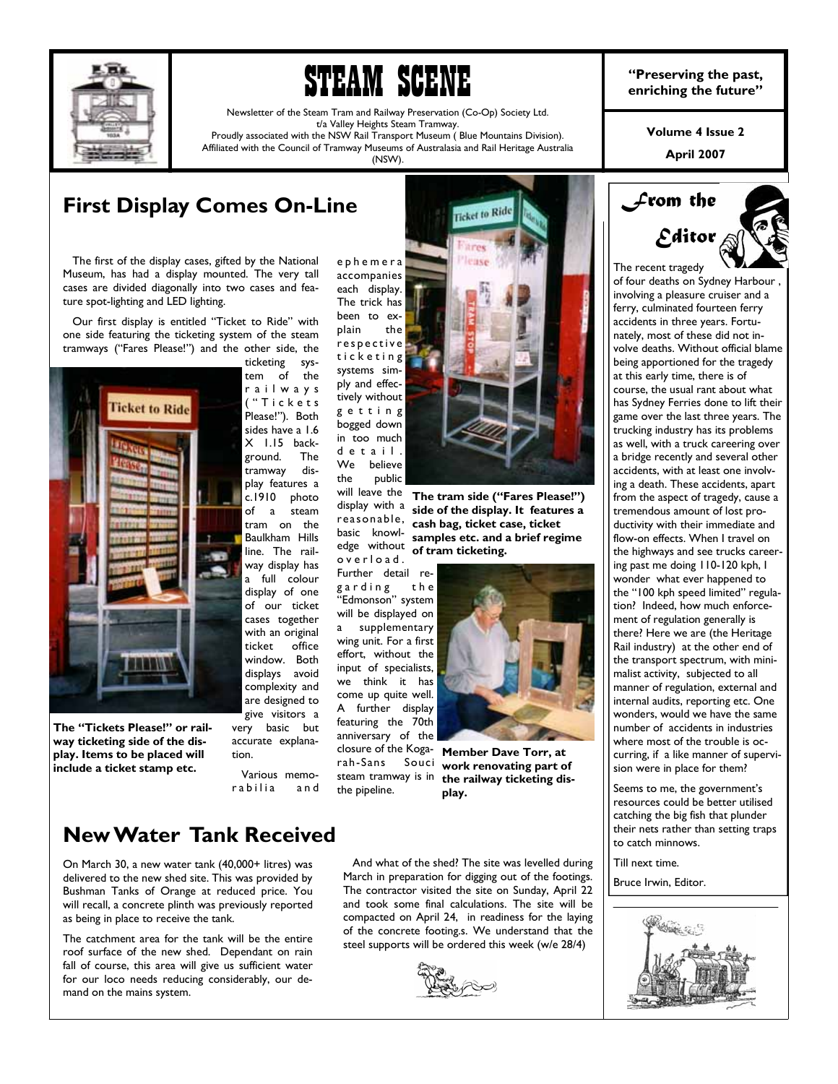

# **STEAM SCENE enriching the past,**<br> **DEEME** enriching the future"

Newsletter of the Steam Tram and Railway Preservation (Co-Op) Society Ltd. t/a Valley Heights Steam Tramway. Proudly associated with the NSW Rail Transport Museum ( Blue Mountains Division).

> display with a reasonable, basic knowledge without o v e r l o a d .

rah-Sans Souci steam tramway is in the pipeline.

Affiliated with the Council of Tramway Museums of Australasia and Rail Heritage Australia (NSW).

## **First Display Comes On-Line**

 The first of the display cases, gifted by the National Museum, has had a display mounted. The very tall cases are divided diagonally into two cases and feature spot-lighting and LED lighting.

 Our first display is entitled "Ticket to Ride" with one side featuring the ticketing system of the steam tramways ("Fares Please!") and the other side, the ticketing sys-



**The "Tickets Please!" or railway ticketing side of the display. Items to be placed will include a ticket stamp etc.** 

displays avoid complexity and are designed to give visitors a very basic but accurate explanation.

 Various memorabilia and



**The tram side ("Fares Please!") side of the display. It features a cash bag, ticket case, ticket samples etc. and a brief regime of tram ticketing.** 



**Member Dave Torr, at work renovating part of the railway ticketing display.** 

## **New Water Tank Received**

On March 30, a new water tank (40,000+ litres) was delivered to the new shed site. This was provided by Bushman Tanks of Orange at reduced price. You will recall, a concrete plinth was previously reported as being in place to receive the tank.

The catchment area for the tank will be the entire roof surface of the new shed. Dependant on rain fall of course, this area will give us sufficient water for our loco needs reducing considerably, our demand on the mains system.

 And what of the shed? The site was levelled during March in preparation for digging out of the footings. The contractor visited the site on Sunday, April 22 and took some final calculations. The site will be compacted on April 24, in readiness for the laying of the concrete footing.s. We understand that the steel supports will be ordered this week (w/e 28/4)



**Volume 4 Issue 2** 

**April 2007** 



of four deaths on Sydney Harbour , involving a pleasure cruiser and a ferry, culminated fourteen ferry accidents in three years. Fortunately, most of these did not involve deaths. Without official blame being apportioned for the tragedy at this early time, there is of course, the usual rant about what has Sydney Ferries done to lift their game over the last three years. The trucking industry has its problems as well, with a truck careering over a bridge recently and several other accidents, with at least one involving a death. These accidents, apart from the aspect of tragedy, cause a tremendous amount of lost productivity with their immediate and flow-on effects. When I travel on the highways and see trucks careering past me doing 110-120 kph, I wonder what ever happened to the "100 kph speed limited" regulation? Indeed, how much enforcement of regulation generally is there? Here we are (the Heritage Rail industry) at the other end of the transport spectrum, with minimalist activity, subjected to all manner of regulation, external and internal audits, reporting etc. One wonders, would we have the same number of accidents in industries where most of the trouble is occurring, if a like manner of supervision were in place for them?

Seems to me, the government's resources could be better utilised catching the big fish that plunder their nets rather than setting traps to catch minnows.

Till next time.

Bruce Irwin, Editor.

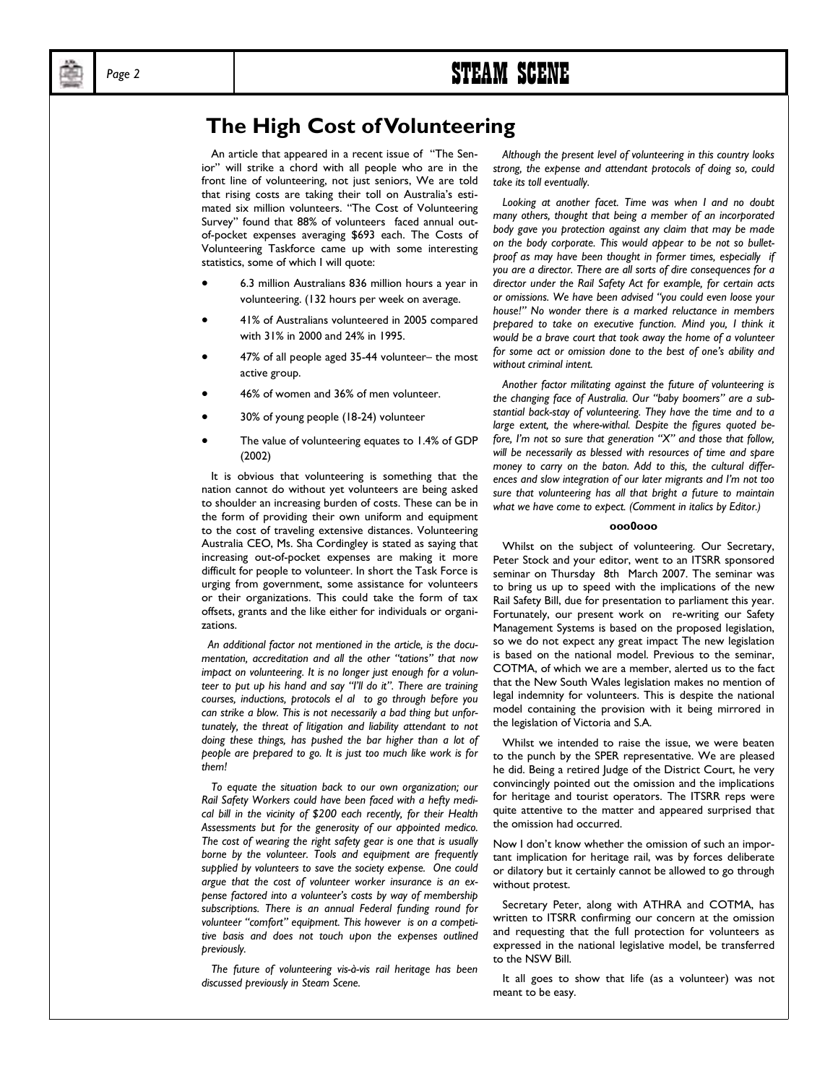## Page 2 **STEAM SCENE**

## **The High Cost of Volunteering**

 An article that appeared in a recent issue of "The Senior" will strike a chord with all people who are in the front line of volunteering, not just seniors, We are told that rising costs are taking their toll on Australia's estimated six million volunteers. "The Cost of Volunteering Survey" found that 88% of volunteers faced annual outof-pocket expenses averaging \$693 each. The Costs of Volunteering Taskforce came up with some interesting statistics, some of which I will quote:

- 6.3 million Australians 836 million hours a year in volunteering. (132 hours per week on average.
- 41% of Australians volunteered in 2005 compared with 31% in 2000 and 24% in 1995.
- 47% of all people aged 35-44 volunteer– the most active group.
- 46% of women and 36% of men volunteer.
- 30% of young people (18-24) volunteer
- The value of volunteering equates to 1.4% of GDP (2002)

 It is obvious that volunteering is something that the nation cannot do without yet volunteers are being asked to shoulder an increasing burden of costs. These can be in the form of providing their own uniform and equipment to the cost of traveling extensive distances. Volunteering Australia CEO, Ms. Sha Cordingley is stated as saying that increasing out-of-pocket expenses are making it more difficult for people to volunteer. In short the Task Force is urging from government, some assistance for volunteers or their organizations. This could take the form of tax offsets, grants and the like either for individuals or organizations.

 *An additional factor not mentioned in the article, is the documentation, accreditation and all the other "tations" that now impact on volunteering. It is no longer just enough for a volunteer to put up his hand and say "I'll do it". There are training courses, inductions, protocols el al to go through before you can strike a blow. This is not necessarily a bad thing but unfortunately, the threat of litigation and liability attendant to not doing these things, has pushed the bar higher than a lot of people are prepared to go. It is just too much like work is for them!* 

 *To equate the situation back to our own organization; our Rail Safety Workers could have been faced with a hefty medical bill in the vicinity of \$200 each recently, for their Health Assessments but for the generosity of our appointed medico. The cost of wearing the right safety gear is one that is usually borne by the volunteer. Tools and equipment are frequently supplied by volunteers to save the society expense. One could argue that the cost of volunteer worker insurance is an expense factored into a volunteer's costs by way of membership subscriptions. There is an annual Federal funding round for volunteer "comfort" equipment. This however is on a competitive basis and does not touch upon the expenses outlined previously.* 

 *The future of volunteering vis-à-vis rail heritage has been discussed previously in Steam Scene.* 

 *Although the present level of volunteering in this country looks strong, the expense and attendant protocols of doing so, could take its toll eventually.* 

 *Looking at another facet. Time was when I and no doubt many others, thought that being a member of an incorporated body gave you protection against any claim that may be made on the body corporate. This would appear to be not so bulletproof as may have been thought in former times, especially if you are a director. There are all sorts of dire consequences for a director under the Rail Safety Act for example, for certain acts or omissions. We have been advised "you could even loose your house!" No wonder there is a marked reluctance in members prepared to take on executive function. Mind you, I think it would be a brave court that took away the home of a volunteer for some act or omission done to the best of one's ability and without criminal intent.* 

 *Another factor militating against the future of volunteering is the changing face of Australia. Our "baby boomers" are a substantial back-stay of volunteering. They have the time and to a large extent, the where-withal. Despite the figures quoted before, I'm not so sure that generation "X" and those that follow, will be necessarily as blessed with resources of time and spare money to carry on the baton. Add to this, the cultural differences and slow integration of our later migrants and I'm not too sure that volunteering has all that bright a future to maintain what we have come to expect. (Comment in italics by Editor.)* 

#### **ooo0ooo**

 Whilst on the subject of volunteering. Our Secretary, Peter Stock and your editor, went to an ITSRR sponsored seminar on Thursday 8th March 2007. The seminar was to bring us up to speed with the implications of the new Rail Safety Bill, due for presentation to parliament this year. Fortunately, our present work on re-writing our Safety Management Systems is based on the proposed legislation, so we do not expect any great impact The new legislation is based on the national model. Previous to the seminar, COTMA, of which we are a member, alerted us to the fact that the New South Wales legislation makes no mention of legal indemnity for volunteers. This is despite the national model containing the provision with it being mirrored in the legislation of Victoria and S.A.

 Whilst we intended to raise the issue, we were beaten to the punch by the SPER representative. We are pleased he did. Being a retired Judge of the District Court, he very convincingly pointed out the omission and the implications for heritage and tourist operators. The ITSRR reps were quite attentive to the matter and appeared surprised that the omission had occurred.

Now I don't know whether the omission of such an important implication for heritage rail, was by forces deliberate or dilatory but it certainly cannot be allowed to go through without protest.

 Secretary Peter, along with ATHRA and COTMA, has written to ITSRR confirming our concern at the omission and requesting that the full protection for volunteers as expressed in the national legislative model, be transferred to the NSW Bill.

 It all goes to show that life (as a volunteer) was not meant to be easy.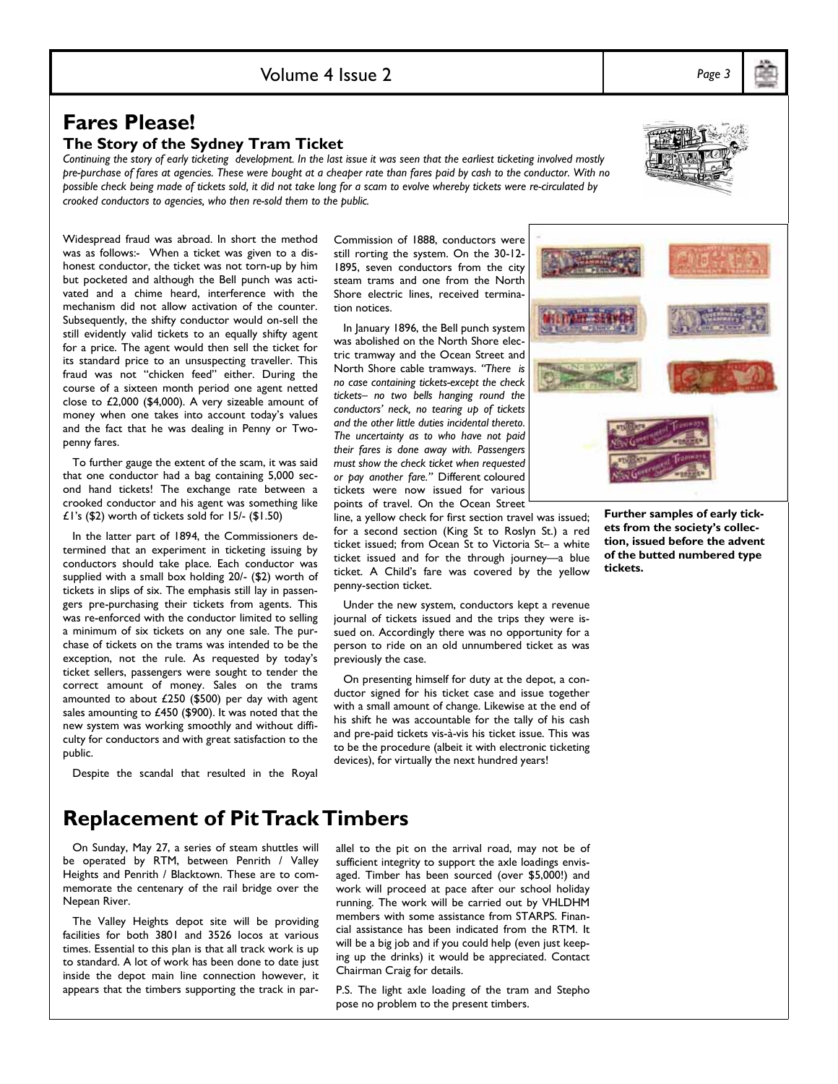## **Fares Please!**

#### **The Story of the Sydney Tram Ticket**

*Continuing the story of early ticketing development. In the last issue it was seen that the earliest ticketing involved mostly pre-purchase of fares at agencies. These were bought at a cheaper rate than fares paid by cash to the conductor. With no possible check being made of tickets sold, it did not take long for a scam to evolve whereby tickets were re-circulated by crooked conductors to agencies, who then re-sold them to the public.* 

Widespread fraud was abroad. In short the method was as follows:- When a ticket was given to a dishonest conductor, the ticket was not torn-up by him but pocketed and although the Bell punch was activated and a chime heard, interference with the mechanism did not allow activation of the counter. Subsequently, the shifty conductor would on-sell the still evidently valid tickets to an equally shifty agent for a price. The agent would then sell the ticket for its standard price to an unsuspecting traveller. This fraud was not "chicken feed" either. During the course of a sixteen month period one agent netted close to £2,000 (\$4,000). A very sizeable amount of money when one takes into account today's values and the fact that he was dealing in Penny or Twopenny fares.

 To further gauge the extent of the scam, it was said that one conductor had a bag containing 5,000 second hand tickets! The exchange rate between a crooked conductor and his agent was something like £1's (\$2) worth of tickets sold for 15/- (\$1.50)

 In the latter part of 1894, the Commissioners determined that an experiment in ticketing issuing by conductors should take place. Each conductor was supplied with a small box holding 20/- (\$2) worth of tickets in slips of six. The emphasis still lay in passengers pre-purchasing their tickets from agents. This was re-enforced with the conductor limited to selling a minimum of six tickets on any one sale. The purchase of tickets on the trams was intended to be the exception, not the rule. As requested by today's ticket sellers, passengers were sought to tender the correct amount of money. Sales on the trams amounted to about £250 (\$500) per day with agent sales amounting to £450 (\$900). It was noted that the new system was working smoothly and without difficulty for conductors and with great satisfaction to the public.

Despite the scandal that resulted in the Royal

Commission of 1888, conductors were still rorting the system. On the 30-12- 1895, seven conductors from the city steam trams and one from the North Shore electric lines, received termination notices.

 In January 1896, the Bell punch system was abolished on the North Shore electric tramway and the Ocean Street and North Shore cable tramways. *"There is no case containing tickets-except the check tickets– no two bells hanging round the conductors' neck, no tearing up of tickets and the other little duties incidental thereto. The uncertainty as to who have not paid their fares is done away with. Passengers must show the check ticket when requested or pay another fare."* Different coloured tickets were now issued for various points of travel. On the Ocean Street

line, a yellow check for first section travel was issued; for a second section (King St to Roslyn St.) a red ticket issued; from Ocean St to Victoria St– a white ticket issued and for the through journey—a blue ticket. A Child's fare was covered by the yellow penny-section ticket.

 Under the new system, conductors kept a revenue journal of tickets issued and the trips they were issued on. Accordingly there was no opportunity for a person to ride on an old unnumbered ticket as was previously the case.

 On presenting himself for duty at the depot, a conductor signed for his ticket case and issue together with a small amount of change. Likewise at the end of his shift he was accountable for the tally of his cash and pre-paid tickets vis-à-vis his ticket issue. This was to be the procedure (albeit it with electronic ticketing devices), for virtually the next hundred years!

**Further samples of early tickets from the society's collection, issued before the advent of the butted numbered type tickets.** 

**Replacement of Pit Track Timbers** 

 On Sunday, May 27, a series of steam shuttles will be operated by RTM, between Penrith / Valley Heights and Penrith / Blacktown. These are to commemorate the centenary of the rail bridge over the Nepean River.

 The Valley Heights depot site will be providing facilities for both 3801 and 3526 locos at various times. Essential to this plan is that all track work is up to standard. A lot of work has been done to date just inside the depot main line connection however, it appears that the timbers supporting the track in parallel to the pit on the arrival road, may not be of sufficient integrity to support the axle loadings envisaged. Timber has been sourced (over \$5,000!) and work will proceed at pace after our school holiday running. The work will be carried out by VHLDHM members with some assistance from STARPS. Financial assistance has been indicated from the RTM. It will be a big job and if you could help (even just keeping up the drinks) it would be appreciated. Contact Chairman Craig for details.

P.S. The light axle loading of the tram and Stepho pose no problem to the present timbers.



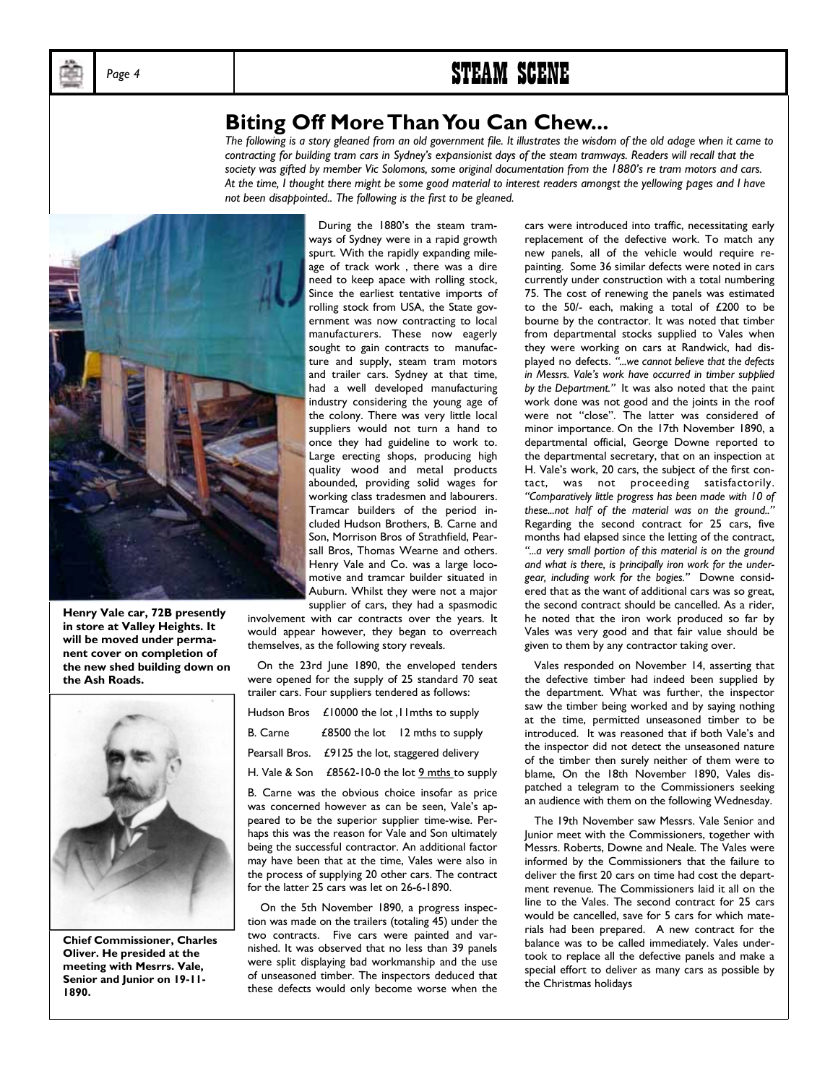

## Page 4 **STEAM SCENE**

## **Biting Off More Than You Can Chew...**

*The following is a story gleaned from an old government file. It illustrates the wisdom of the old adage when it came to contracting for building tram cars in Sydney's expansionist days of the steam tramways. Readers will recall that the*  society was gifted by member Vic Solomons, some original documentation from the 1880's re tram motors and cars. *At the time, I thought there might be some good material to interest readers amongst the yellowing pages and I have not been disappointed.. The following is the first to be gleaned.* 



**Henry Vale car, 72B presently in store at Valley Heights. It will be moved under permanent cover on completion of the new shed building down on the Ash Roads.** 



**Chief Commissioner, Charles Oliver. He presided at the meeting with Mesrrs. Vale, Senior and Junior on 19-11- 1890.** 

 During the 1880's the steam tramways of Sydney were in a rapid growth spurt. With the rapidly expanding mileage of track work , there was a dire need to keep apace with rolling stock, Since the earliest tentative imports of rolling stock from USA, the State government was now contracting to local manufacturers. These now eagerly sought to gain contracts to manufacture and supply, steam tram motors and trailer cars. Sydney at that time, had a well developed manufacturing industry considering the young age of the colony. There was very little local suppliers would not turn a hand to once they had guideline to work to. Large erecting shops, producing high quality wood and metal products abounded, providing solid wages for working class tradesmen and labourers. Tramcar builders of the period included Hudson Brothers, B. Carne and Son, Morrison Bros of Strathfield, Pearsall Bros, Thomas Wearne and others. Henry Vale and Co. was a large locomotive and tramcar builder situated in Auburn. Whilst they were not a major supplier of cars, they had a spasmodic

involvement with car contracts over the years. It would appear however, they began to overreach themselves, as the following story reveals.

 On the 23rd June 1890, the enveloped tenders were opened for the supply of 25 standard 70 seat trailer cars. Four suppliers tendered as follows:

| Hudson Bros £10000 the lot, I lmths to supply     |                                          |
|---------------------------------------------------|------------------------------------------|
|                                                   | B. Carne £8500 the lot 12 mths to supply |
| Pearsall Bros. £9125 the lot, staggered delivery  |                                          |
| H. Vale & Son £8562-10-0 the lot 9 mths to supply |                                          |
|                                                   | .                                        |

B. Carne was the obvious choice insofar as price was concerned however as can be seen, Vale's appeared to be the superior supplier time-wise. Perhaps this was the reason for Vale and Son ultimately being the successful contractor. An additional factor may have been that at the time, Vales were also in the process of supplying 20 other cars. The contract for the latter 25 cars was let on 26-6-1890.

 On the 5th November 1890, a progress inspection was made on the trailers (totaling 45) under the two contracts. Five cars were painted and varnished. It was observed that no less than 39 panels were split displaying bad workmanship and the use of unseasoned timber. The inspectors deduced that these defects would only become worse when the

cars were introduced into traffic, necessitating early replacement of the defective work. To match any new panels, all of the vehicle would require repainting. Some 36 similar defects were noted in cars currently under construction with a total numbering 75. The cost of renewing the panels was estimated to the 50/- each, making a total of £200 to be bourne by the contractor. It was noted that timber from departmental stocks supplied to Vales when they were working on cars at Randwick, had displayed no defects. *"...we cannot believe that the defects in Messrs. Vale's work have occurred in timber supplied by the Department."* It was also noted that the paint work done was not good and the joints in the roof were not "close". The latter was considered of minor importance. On the 17th November 1890, a departmental official, George Downe reported to the departmental secretary, that on an inspection at H. Vale's work, 20 cars, the subject of the first contact, was not proceeding satisfactorily. *"Comparatively little progress has been made with 10 of these...not half of the material was on the ground.."*  Regarding the second contract for 25 cars, five months had elapsed since the letting of the contract, *"...a very small portion of this material is on the ground and what is there, is principally iron work for the undergear, including work for the bogies."* Downe considered that as the want of additional cars was so great, the second contract should be cancelled. As a rider, he noted that the iron work produced so far by Vales was very good and that fair value should be given to them by any contractor taking over.

Vales responded on November 14, asserting that the defective timber had indeed been supplied by the department. What was further, the inspector saw the timber being worked and by saying nothing at the time, permitted unseasoned timber to be introduced. It was reasoned that if both Vale's and the inspector did not detect the unseasoned nature of the timber then surely neither of them were to blame, On the 18th November 1890, Vales dispatched a telegram to the Commissioners seeking an audience with them on the following Wednesday.

 The 19th November saw Messrs. Vale Senior and Junior meet with the Commissioners, together with Messrs. Roberts, Downe and Neale. The Vales were informed by the Commissioners that the failure to deliver the first 20 cars on time had cost the department revenue. The Commissioners laid it all on the line to the Vales. The second contract for 25 cars would be cancelled, save for 5 cars for which materials had been prepared. A new contract for the balance was to be called immediately. Vales undertook to replace all the defective panels and make a special effort to deliver as many cars as possible by the Christmas holidays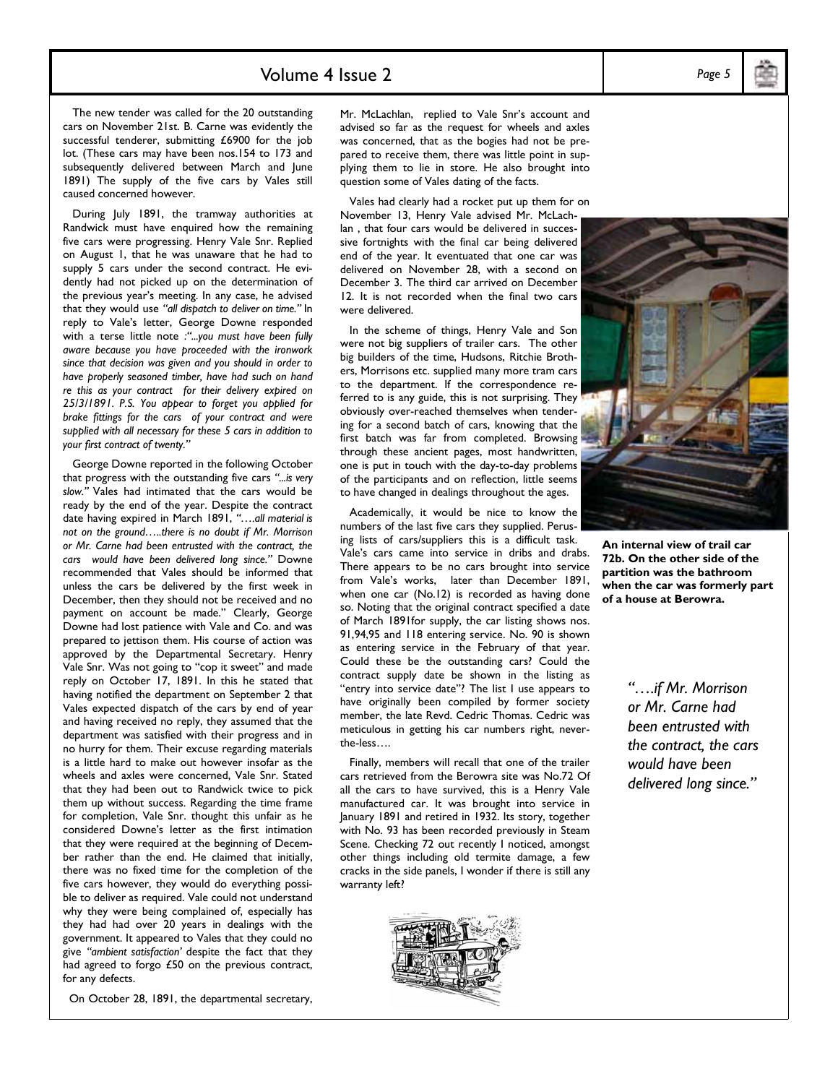### Volume 4 Issue 2

 The new tender was called for the 20 outstanding cars on November 21st. B. Carne was evidently the successful tenderer, submitting £6900 for the job lot. (These cars may have been nos.154 to 173 and subsequently delivered between March and June 1891) The supply of the five cars by Vales still caused concerned however.

 During July 1891, the tramway authorities at Randwick must have enquired how the remaining five cars were progressing. Henry Vale Snr. Replied on August 1, that he was unaware that he had to supply 5 cars under the second contract. He evidently had not picked up on the determination of the previous year's meeting. In any case, he advised that they would use *"all dispatch to deliver on time."* In reply to Vale's letter, George Downe responded with a terse little note *:"...you must have been fully aware because you have proceeded with the ironwork since that decision was given and you should in order to have properly seasoned timber, have had such on hand re this as your contract for their delivery expired on 25/3/1891. P.S. You appear to forget you applied for brake fittings for the cars of your contract and were supplied with all necessary for these 5 cars in addition to your first contract of twenty."* 

 George Downe reported in the following October that progress with the outstanding five cars *"...is very slow."* Vales had intimated that the cars would be ready by the end of the year. Despite the contract date having expired in March 1891, *"….all material is not on the ground…..there is no doubt if Mr. Morrison or Mr. Carne had been entrusted with the contract, the cars would have been delivered long since."* Downe recommended that Vales should be informed that unless the cars be delivered by the first week in December, then they should not be received and no payment on account be made." Clearly, George Downe had lost patience with Vale and Co. and was prepared to jettison them. His course of action was approved by the Departmental Secretary. Henry Vale Snr. Was not going to "cop it sweet" and made reply on October 17, 1891. In this he stated that having notified the department on September 2 that Vales expected dispatch of the cars by end of year and having received no reply, they assumed that the department was satisfied with their progress and in no hurry for them. Their excuse regarding materials is a little hard to make out however insofar as the wheels and axles were concerned, Vale Snr. Stated that they had been out to Randwick twice to pick them up without success. Regarding the time frame for completion, Vale Snr. thought this unfair as he considered Downe's letter as the first intimation that they were required at the beginning of December rather than the end. He claimed that initially, there was no fixed time for the completion of the five cars however, they would do everything possible to deliver as required. Vale could not understand why they were being complained of, especially has they had had over 20 years in dealings with the government. It appeared to Vales that they could no give *"ambient satisfaction'* despite the fact that they had agreed to forgo £50 on the previous contract, for any defects.

On October 28, 1891, the departmental secretary,

Mr. McLachlan, replied to Vale Snr's account and advised so far as the request for wheels and axles was concerned, that as the bogies had not be prepared to receive them, there was little point in supplying them to lie in store. He also brought into question some of Vales dating of the facts.

 Vales had clearly had a rocket put up them for on November 13, Henry Vale advised Mr. McLachlan , that four cars would be delivered in successive fortnights with the final car being delivered end of the year. It eventuated that one car was delivered on November 28, with a second on December 3. The third car arrived on December 12. It is not recorded when the final two cars were delivered.

 In the scheme of things, Henry Vale and Son were not big suppliers of trailer cars. The other big builders of the time, Hudsons, Ritchie Brothers, Morrisons etc. supplied many more tram cars to the department. If the correspondence referred to is any guide, this is not surprising. They obviously over-reached themselves when tendering for a second batch of cars, knowing that the first batch was far from completed. Browsing through these ancient pages, most handwritten, one is put in touch with the day-to-day problems of the participants and on reflection, little seems to have changed in dealings throughout the ages.

 Academically, it would be nice to know the numbers of the last five cars they supplied. Perusing lists of cars/suppliers this is a difficult task.

Vale's cars came into service in dribs and drabs. There appears to be no cars brought into service from Vale's works, later than December 1891, when one car (No.12) is recorded as having done so. Noting that the original contract specified a date of March 1891for supply, the car listing shows nos. 91,94,95 and 118 entering service. No. 90 is shown as entering service in the February of that year. Could these be the outstanding cars? Could the contract supply date be shown in the listing as "entry into service date"? The list I use appears to have originally been compiled by former society member, the late Revd. Cedric Thomas. Cedric was meticulous in getting his car numbers right, neverthe-less….

 Finally, members will recall that one of the trailer cars retrieved from the Berowra site was No.72 Of all the cars to have survived, this is a Henry Vale manufactured car. It was brought into service in January 1891 and retired in 1932. Its story, together with No. 93 has been recorded previously in Steam Scene. Checking 72 out recently I noticed, amongst other things including old termite damage, a few cracks in the side panels, I wonder if there is still any warranty left?



**An internal view of trail car 72b. On the other side of the partition was the bathroom when the car was formerly part of a house at Berowra.** 

> *"….if Mr. Morrison or Mr. Carne had been entrusted with the contract, the cars would have been delivered long since."*



*Page 5*